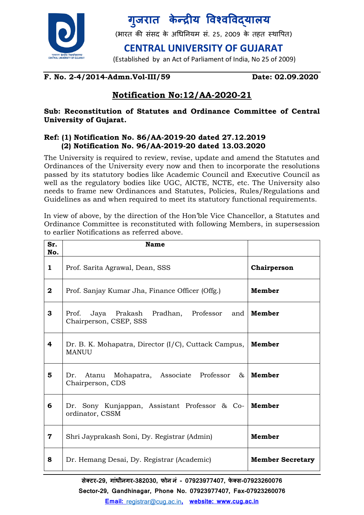

## <u>गु</u>जरात केन्द्रीय विश्वविद्**याल**य

(भारत की संसद के अधिनियम सं. 25, 2009 के तहत स्थापित)

**CENTRAL UNIVERSITY OF GUJARAT**

(Established by an Act of Parliament of India, No 25 of 2009)

#### **F. No. 2-4/2014-Admn.Vol-III/59 Date: 02.09.2020**

### **Notification No:12/AA-2020-21**

#### **Sub: Reconstitution of Statutes and Ordinance Committee of Central University of Gujarat.**

#### **Ref: (1) Notification No. 86/AA-2019-20 dated 27.12.2019 (2) Notification No. 96/AA-2019-20 dated 13.03.2020**

The University is required to review, revise, update and amend the Statutes and Ordinances of the University every now and then to incorporate the resolutions passed by its statutory bodies like Academic Council and Executive Council as well as the regulatory bodies like UGC, AICTE, NCTE, etc. The University also needs to frame new Ordinances and Statutes, Policies, Rules/Regulations and Guidelines as and when required to meet its statutory functional requirements.

In view of above, by the direction of the Hon'ble Vice Chancellor, a Statutes and Ordinance Committee is reconstituted with following Members, in supersession to earlier Notifications as referred above.

| Sr.<br>No.   | <b>Name</b>                                                               |                         |
|--------------|---------------------------------------------------------------------------|-------------------------|
| $\mathbf{1}$ | Prof. Sarita Agrawal, Dean, SSS                                           | Chairperson             |
| $\bf{2}$     | Prof. Sanjay Kumar Jha, Finance Officer (Offg.)                           | Member                  |
| 3            | Jaya Prakash Pradhan, Professor and<br>Prof.<br>Chairperson, CSEP, SSS    | Member                  |
| 4            | Dr. B. K. Mohapatra, Director (I/C), Cuttack Campus,<br><b>MANUU</b>      | Member                  |
| 5            | Dr. Atanu Mohapatra, Associate Professor &<br>Chairperson, CDS            | Member                  |
| 6            | Dr. Sony Kunjappan, Assistant Professor & Co-   Member<br>ordinator, CSSM |                         |
| 7            | Shri Jayprakash Soni, Dy. Registrar (Admin)                               | Member                  |
| 8            | Dr. Hemang Desai, Dy. Registrar (Academic)                                | <b>Member Secretary</b> |

**सेक्टर-29, ग ांधीनगर-382030, फोन नां - 07923977407, फे क्स-07923260076**

**Sector-29, Gandhinagar, Phone No. 07923977407, Fax-07923260076**